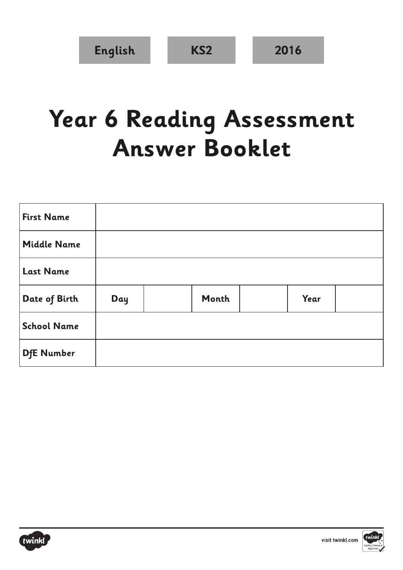## **Year 6 Reading Assessment Answer Booklet**

| <b>First Name</b>  |     |       |      |  |
|--------------------|-----|-------|------|--|
| <b>Middle Name</b> |     |       |      |  |
| <b>Last Name</b>   |     |       |      |  |
| Date of Birth      | Day | Month | Year |  |
| <b>School Name</b> |     |       |      |  |
| <b>DfE Number</b>  |     |       |      |  |



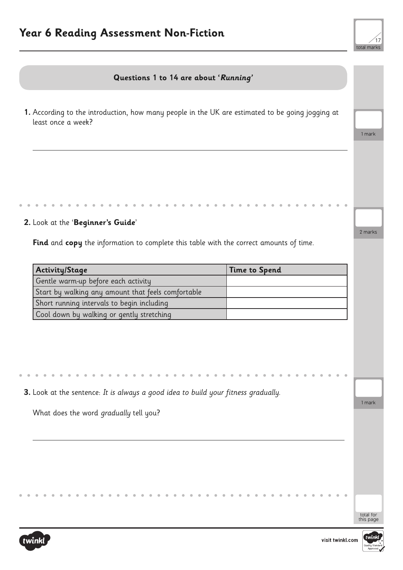

# total for this page **Questions 1 to 14 are about 'Running'** 1 mark **1.** According to the introduction, how many people in the UK are estimated to be going jogging at least once a week? 2 marks **2.** Look at the '**Beginner's Guide**' **Find** and **copy** the information to complete this table with the correct amounts of time. **Activity/Stage Time to Spend** Gentle warm-up before each activity Start by walking any amount that feels comfortable Short running intervals to begin including Cool down by walking or gently stretching 1 mark **3.** Look at the sentence: It is always a good idea to build your fitness gradually. What does the word gradually tell you?



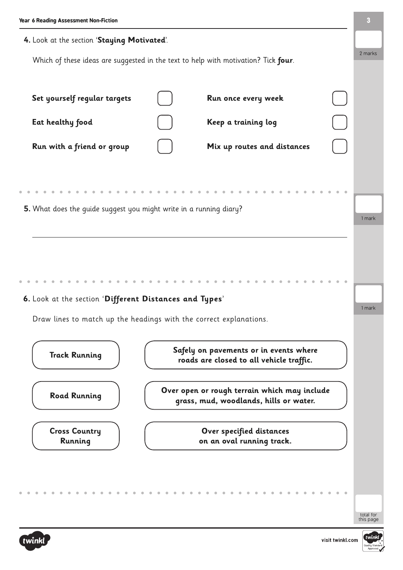| Year 6 Reading Assessment Non-Fiction                              |                                                                                        |           |
|--------------------------------------------------------------------|----------------------------------------------------------------------------------------|-----------|
| 4. Look at the section 'Staying Motivated'.                        |                                                                                        |           |
|                                                                    | Which of these ideas are suggested in the text to help with motivation? Tick four.     | 2 marks   |
|                                                                    |                                                                                        |           |
| Set yourself regular targets                                       | Run once every week                                                                    |           |
| Eat healthy food                                                   | Keep a training log                                                                    |           |
| Run with a friend or group                                         | Mix up routes and distances                                                            |           |
|                                                                    |                                                                                        |           |
| 5. What does the guide suggest you might write in a running diary? |                                                                                        | 1 mark    |
|                                                                    |                                                                                        |           |
|                                                                    |                                                                                        |           |
|                                                                    |                                                                                        |           |
|                                                                    |                                                                                        |           |
|                                                                    |                                                                                        |           |
|                                                                    |                                                                                        |           |
| 6. Look at the section 'Different Distances and Types'             |                                                                                        | 1 mark    |
| Draw lines to match up the headings with the correct explanations. |                                                                                        |           |
|                                                                    |                                                                                        |           |
|                                                                    |                                                                                        |           |
| <b>Track Running</b>                                               | Safely on pavements or in events where<br>roads are closed to all vehicle traffic.     |           |
|                                                                    |                                                                                        |           |
|                                                                    |                                                                                        |           |
| <b>Road Running</b>                                                | Over open or rough terrain which may include<br>grass, mud, woodlands, hills or water. |           |
|                                                                    |                                                                                        |           |
|                                                                    |                                                                                        |           |
| <b>Cross Country</b>                                               | Over specified distances                                                               |           |
| Running                                                            | on an oval running track.                                                              |           |
|                                                                    |                                                                                        |           |
|                                                                    |                                                                                        |           |
|                                                                    |                                                                                        |           |
|                                                                    |                                                                                        |           |
|                                                                    |                                                                                        |           |
|                                                                    |                                                                                        | total for |





**The Common State**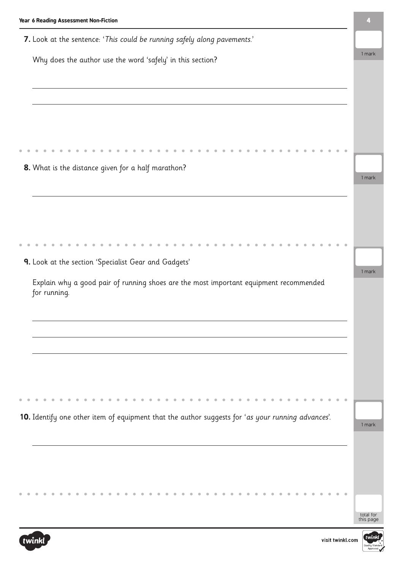| Year 6 Reading Assessment Non-Fiction                                                                 |                        |
|-------------------------------------------------------------------------------------------------------|------------------------|
| 7. Look at the sentence: 'This could be running safely along pavements.'                              |                        |
| Why does the author use the word 'safely' in this section?                                            | 1 mark                 |
|                                                                                                       |                        |
|                                                                                                       |                        |
|                                                                                                       |                        |
|                                                                                                       |                        |
|                                                                                                       |                        |
| 8. What is the distance given for a half marathon?                                                    | 1 mark                 |
|                                                                                                       |                        |
|                                                                                                       |                        |
|                                                                                                       |                        |
|                                                                                                       |                        |
| 9. Look at the section 'Specialist Gear and Gadgets'                                                  |                        |
| Explain why a good pair of running shoes are the most important equipment recommended<br>for running. | 1 mark                 |
|                                                                                                       |                        |
|                                                                                                       |                        |
|                                                                                                       |                        |
|                                                                                                       |                        |
|                                                                                                       |                        |
|                                                                                                       |                        |
| 10. Identify one other item of equipment that the author suggests for 'as your running advances'.     | 1 mark                 |
|                                                                                                       |                        |
|                                                                                                       |                        |
|                                                                                                       |                        |
|                                                                                                       |                        |
|                                                                                                       | total for<br>this page |

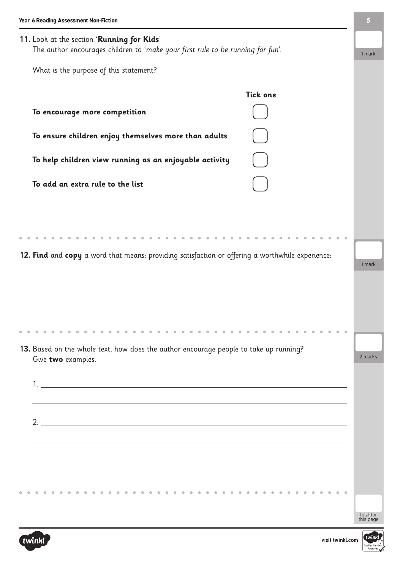| Year 6 Reading Assessment Non-Fiction                                                                                         | 5                      |
|-------------------------------------------------------------------------------------------------------------------------------|------------------------|
| 11. Look at the section 'Running for Kids'<br>The author encourages children to 'make your first rule to be running for fun'. |                        |
| What is the purpose of this statement?                                                                                        | 1 mark                 |
|                                                                                                                               |                        |
| <b>Tick one</b>                                                                                                               |                        |
| To encourage more competition                                                                                                 |                        |
| To ensure children enjoy themselves more than adults                                                                          |                        |
| To help children view running as an enjoyable activity                                                                        |                        |
| To add an extra rule to the list                                                                                              |                        |
|                                                                                                                               |                        |
|                                                                                                                               |                        |
| 12. Find and copy a word that means: providing satisfaction or offering a worthwhile experience:                              |                        |
|                                                                                                                               | 1 mark                 |
|                                                                                                                               |                        |
|                                                                                                                               |                        |
|                                                                                                                               |                        |
|                                                                                                                               |                        |
| 13. Based on the whole text, how does the author encourage people to take up running?<br>Give two examples.                   | 2 marks                |
|                                                                                                                               |                        |
|                                                                                                                               |                        |
|                                                                                                                               |                        |
|                                                                                                                               |                        |
| <u> 1989 - Johann Stoff, Amerikaansk politiker (* 1908)</u>                                                                   |                        |
|                                                                                                                               |                        |
|                                                                                                                               |                        |
|                                                                                                                               |                        |
|                                                                                                                               | total for<br>this page |



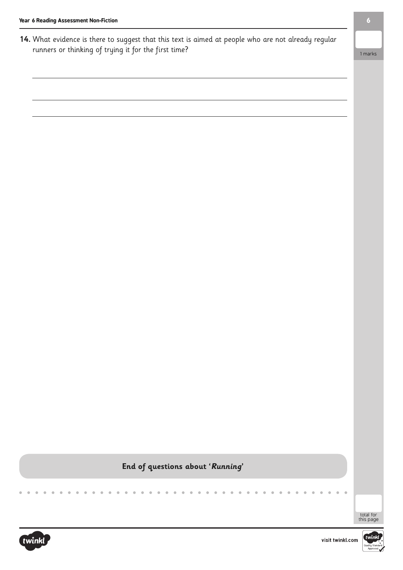**14.** What evidence is there to suggest that this text is aimed at people who are not already regular runners or thinking of trying it for the first time?

1 marks

#### **End of questions about 'Running'**

total for this page

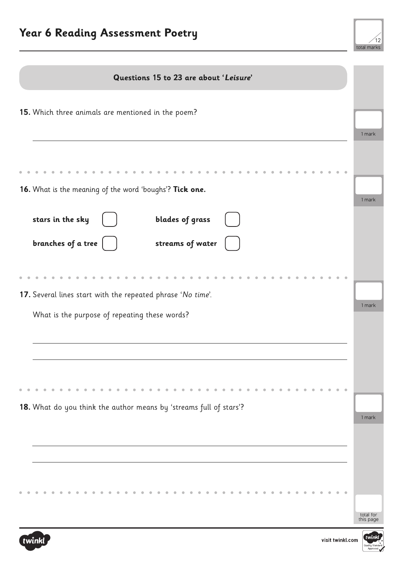

| Questions 15 to 23 are about 'Leisure'                             |           |
|--------------------------------------------------------------------|-----------|
| 15. Which three animals are mentioned in the poem?                 |           |
|                                                                    | 1 mark    |
| 16. What is the meaning of the word 'boughs'? Tick one.            | 1 mark    |
| stars in the sky<br>blades of grass                                |           |
| branches of a tree<br>streams of water                             |           |
|                                                                    |           |
| 17. Several lines start with the repeated phrase 'No time'.        |           |
| What is the purpose of repeating these words?                      | 1 mark    |
|                                                                    |           |
|                                                                    |           |
|                                                                    |           |
| 18. What do you think the author means by 'streams full of stars'? | 1 mark    |
|                                                                    |           |
|                                                                    |           |
|                                                                    |           |
|                                                                    | total for |
|                                                                    | this page |



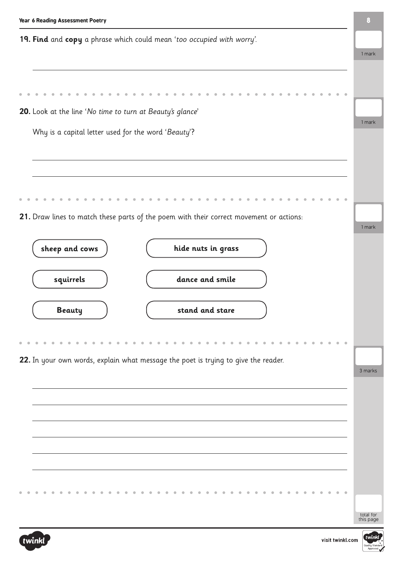| Year 6 Reading Assessment Poetry                                                        | 8                      |
|-----------------------------------------------------------------------------------------|------------------------|
| 19. Find and copy a phrase which could mean 'too occupied with worry'.                  |                        |
|                                                                                         | 1 mark                 |
|                                                                                         |                        |
|                                                                                         |                        |
| 20. Look at the line 'No time to turn at Beauty's glance'                               |                        |
|                                                                                         | 1 mark                 |
| Why is a capital letter used for the word 'Beauty'?                                     |                        |
|                                                                                         |                        |
|                                                                                         |                        |
|                                                                                         |                        |
|                                                                                         |                        |
| 21. Draw lines to match these parts of the poem with their correct movement or actions: | 1 mark                 |
|                                                                                         |                        |
| sheep and cows<br>hide nuts in grass                                                    |                        |
| dance and smile<br>squirrels                                                            |                        |
|                                                                                         |                        |
| <b>Beauty</b><br>stand and stare                                                        |                        |
|                                                                                         |                        |
|                                                                                         |                        |
| 22. In your own words, explain what message the poet is trying to give the reader.      |                        |
|                                                                                         | 3 marks                |
|                                                                                         |                        |
|                                                                                         |                        |
|                                                                                         |                        |
|                                                                                         |                        |
|                                                                                         |                        |
|                                                                                         |                        |
|                                                                                         |                        |
|                                                                                         |                        |
|                                                                                         | total for<br>this page |



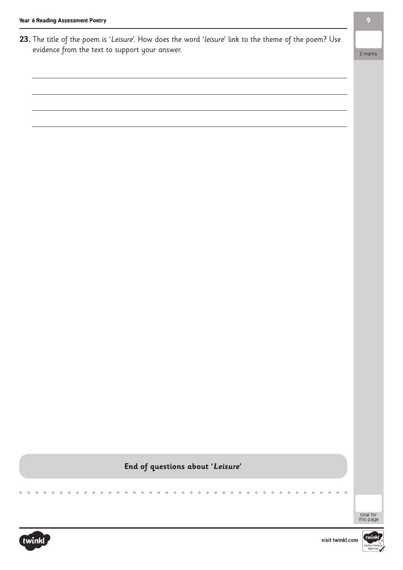2 marks

#### **End of questions about 'Leisure'**

total for this page

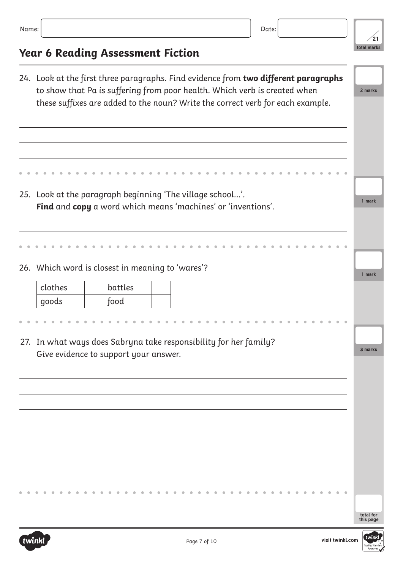

### **Year 6 Reading Assessment Fiction**

|         | 24. Look at the first three paragraphs. Find evidence from two different paragraphs |                        |
|---------|-------------------------------------------------------------------------------------|------------------------|
|         | to show that Pa is suffering from poor health. Which verb is created when           | 2 marks                |
|         | these suffixes are added to the noun? Write the correct verb for each example.      |                        |
|         |                                                                                     |                        |
|         |                                                                                     |                        |
|         |                                                                                     |                        |
|         |                                                                                     |                        |
|         |                                                                                     |                        |
|         |                                                                                     |                        |
|         | 25. Look at the paragraph beginning 'The village school'.                           | 1 mark                 |
|         | Find and copy a word which means 'machines' or 'inventions'.                        |                        |
|         |                                                                                     |                        |
|         |                                                                                     |                        |
|         |                                                                                     |                        |
|         |                                                                                     |                        |
|         | 26. Which word is closest in meaning to 'wares'?                                    | 1 mark                 |
| clothes | battles                                                                             |                        |
| goods   | food                                                                                |                        |
|         |                                                                                     |                        |
|         |                                                                                     |                        |
|         |                                                                                     |                        |
|         | 27. In what ways does Sabryna take responsibility for her family?                   | 3 marks                |
|         | Give evidence to support your answer.                                               |                        |
|         |                                                                                     |                        |
|         |                                                                                     |                        |
|         |                                                                                     |                        |
|         |                                                                                     |                        |
|         |                                                                                     |                        |
|         |                                                                                     |                        |
|         |                                                                                     |                        |
|         |                                                                                     |                        |
|         |                                                                                     |                        |
|         |                                                                                     |                        |
|         |                                                                                     |                        |
|         |                                                                                     |                        |
|         |                                                                                     |                        |
|         |                                                                                     | total for<br>this page |
|         |                                                                                     |                        |

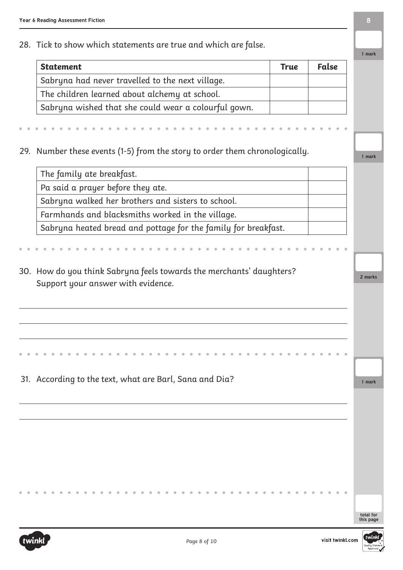28. Tick to show which statements are true and which are false.

| <b>Statement</b>                                     | <b>True</b> | <b>False</b> |
|------------------------------------------------------|-------------|--------------|
| Sabryna had never travelled to the next village.     |             |              |
| The children learned about alchemy at school.        |             |              |
| Sabryna wished that she could wear a colourful gown. |             |              |

29. Number these events (1-5) from the story to order them chronologically.

**1 mark**

| The family ate breakfast.                                      |  |
|----------------------------------------------------------------|--|
| Pa said a prayer before they ate.                              |  |
| Sabryna walked her brothers and sisters to school.             |  |
| Farmhands and blacksmiths worked in the village.               |  |
| Sabryna heated bread and pottage for the family for breakfast. |  |
|                                                                |  |

30. How do you think Sabryna feels towards the merchants' daughters? Support your answer with evidence.

31. According to the text, what are Barl, Sana and Dia?



**total for this page**

**1 mark**

**2 marks**

**1 mark**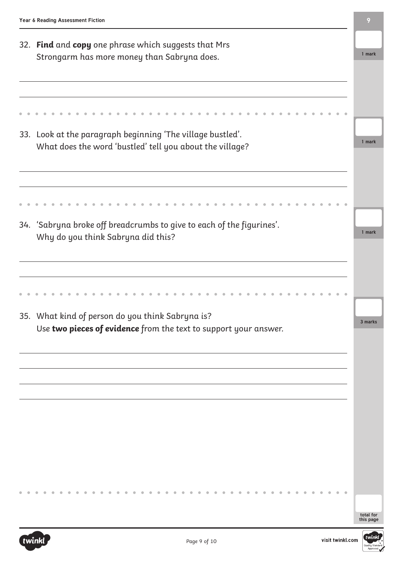| 32. Find and copy one phrase which suggests that Mrs                  |  |
|-----------------------------------------------------------------------|--|
| Strongarm has more money than Sabryna does.                           |  |
|                                                                       |  |
|                                                                       |  |
|                                                                       |  |
|                                                                       |  |
| 33. Look at the paragraph beginning 'The village bustled'.            |  |
| What does the word 'bustled' tell you about the village?              |  |
|                                                                       |  |
|                                                                       |  |
|                                                                       |  |
|                                                                       |  |
| 34. 'Sabryna broke off breadcrumbs to give to each of the figurines'. |  |
| Why do you think Sabryna did this?                                    |  |
|                                                                       |  |
|                                                                       |  |
|                                                                       |  |
|                                                                       |  |
|                                                                       |  |
| 35. What kind of person do you think Sabryna is?                      |  |
| Use two pieces of evidence from the text to support your answer.      |  |
|                                                                       |  |
|                                                                       |  |
|                                                                       |  |
|                                                                       |  |
|                                                                       |  |
|                                                                       |  |
|                                                                       |  |
|                                                                       |  |
|                                                                       |  |
|                                                                       |  |
|                                                                       |  |